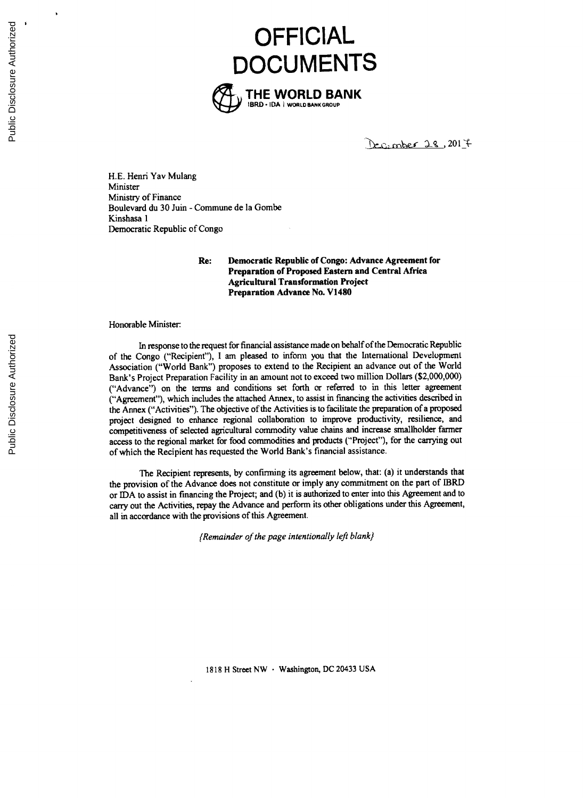**OFFICIAL DOCUMENTS**



Decomber 28, 2017

**H.E.** Henri Yav Mulang Minister Ministry of Finance Boulevard du **30** Juin **-** Commune de la Gombe Kinshasa 1 Democratic Republic of Congo

> **Re: Democratic Republic of Congo: Advance Agreement for Preparation of Proposed Eastern and Central Africa Agricultural Transformation Project Preparation Advance No. V1480**

#### Honorable Minister

In response to the request for financial assistance made on behalf of the Democratic Republic of the Congo ("Recipient"), **I** am pleased to infonn you that the International Development Association ("World Bank") proposes to extend to the Recipient an advance out of the World Bank's Project Preparation Facility in an amount not to exceed two million Dollars (\$2,000,000) ("Advance") on the terms and conditions set forth or referred to in this letter agreement ("Agreement"), which includes the attached Annex, to assist in financing the activities described in the Annex ("Activities"). The objective of the Activities is to facilitate the preparation of a proposed project designed to enhance regional collaboration to improve productivity, resilience, and competitiveness of selected agricultural commodity value chains and increase smallholder farmer access to the regional market for food commodities and products ("Project"), for the carrying out of which the Recipient has requested the World Bank's financial assistance.

The Recipient represents, **by** confirming its agreement below, that: (a) it understands that the provision of the Advance does not constitute or imply any commitment on the part of IBRD or **IDA** to assist in financing the Project; and **(b)** it is authorized to enter into this Agreement and to carry out the Activities, repay the Advance and perform its other obligations under this Agreement, all in accordance with the provisions of this Agreement.

*(Remainder of the page intentionally left blank)*

**1818** H Street NW **-** Washington, **DC** 20433 **USA**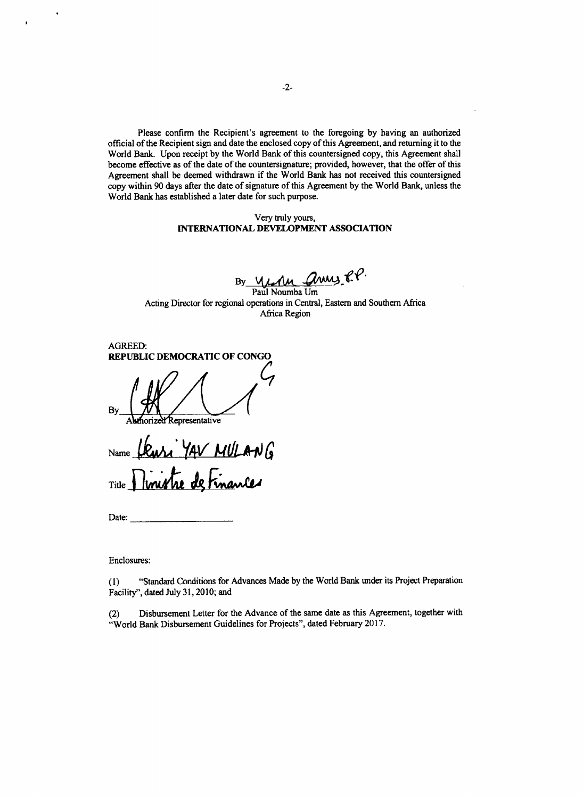Please confirm the Recipient's agreement to the foregoing **by** having an authorized official of the Recipient sign and date the enclosed copy of this Agreement, and returning it to the World Bank. Upon receipt **by** the World Bank of this countersigned copy, this Agreement shall become effective as of the date of the countersignature; provided, however, that the offer of this Agreement shall be deemed withdrawn if the World Bank has not received this countersigned copy within **90** days after the date of signature of this Agreement **by** the World Bank, unless the World Bank has established a later date for such purpose.

### Very **truly** yours, **INTERNATIONAL DEVELOPMENT ASSOCIATION**

By  $\frac{M_{\text{A}}-M_{\text{B}}}{P_{\text{A}}+M_{\text{B}}+M_{\text{B}}+M_{\text{B}}+M_{\text{B}}+M_{\text{B}}+M_{\text{B}}+M_{\text{B}}+M_{\text{B}}+M_{\text{B}}+M_{\text{B}}+M_{\text{B}}+M_{\text{B}}+M_{\text{B}}+M_{\text{B}}+M_{\text{B}}+M_{\text{B}}+M_{\text{B}}+M_{\text{B}}+M_{\text{B}}+M_{\text{B}}+M_{\text{B}}+M_{\text{B}}+M_{\text{B}}+M_{\text{B$ 

Acting Director for regional operations in Central, Eastern and Southern Africa Africa Region

AGREED: **REPUBLIC DEMOCRATIC OF CONGO**

By

Representative

Name **Ulus YAV MULANG** Title **Ninistre de Finan** 

Date:

Enclosures:

**(1)** "Standard Conditions for Advances Made **by** the World Bank under its Project Preparation Facility", dated July **31, 2010;** and

(2) Disbursement Letter for the Advance of the same date as this Agreement, together with "World Bank Disbursement Guidelines for Projects", dated February **2017.**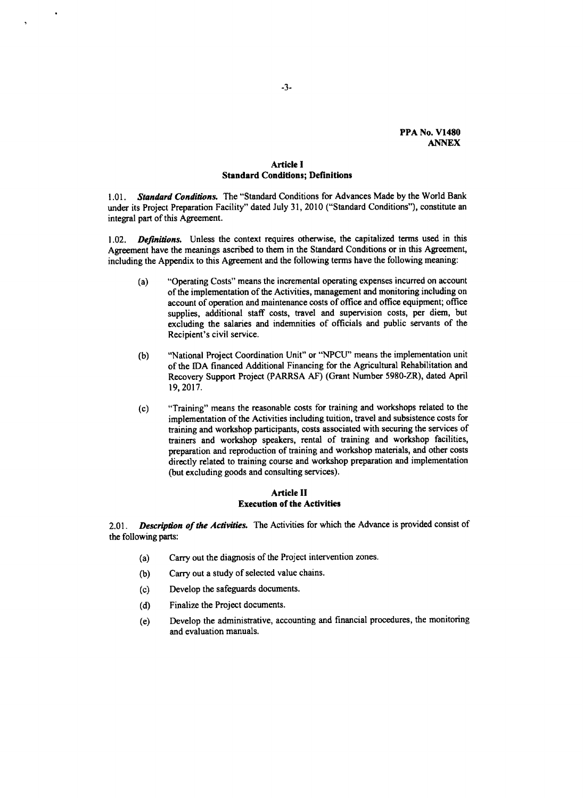## **Article I Standard Conditions; Definitions**

*1.01. Standard Conditions.* The "Standard Conditions for Advances Made **by** the World Bank under its Project Preparation Facility" dated July **31,** 2010 ("Standard Conditions"), constitute an integral part of this Agreement.

1.02. *Definitions.* Unless the context requires otherwise, the capitalized terms used in this Agreement have the meanings ascribed to them in the Standard Conditions or in this Agreement, including the Appendix to this Agreement and the following terms have the following meaning:

- (a) "Operating Costs" means the incremental operating expenses incurred on account of the implementation of the Activities, management and monitoring including on account of operation and maintenance costs of office and office equipment; office supplies, additional staff costs, travel and supervision costs, per diem, but excluding the salaries and indemnities of officials and public servants of the Recipient's civil service.
- **(b)** "National Project Coordination Unit" or **"NPCU"** means the implementation unit of the IDA financed Additional Financing for the Agricultural Rehabilitation and Recovery Support Project (PARRSA **AF)** (Grant Number 5980-ZR), dated April **19,2017.**
- (c) "Training" means the reasonable costs for training and workshops related to the implementation of the Activities including tuition, travel and subsistence costs for training and workshop participants, costs associated with securing the services of trainers and workshop speakers, rental of training and workshop facilities, preparation and reproduction of training and workshop materials, and other costs directly related to training course and workshop preparation and implementation (but excluding goods and consulting services).

## **Article II Execution of the Activities**

*2.01. Description of the Activities.* The Activities for which the Advance is provided consist of the following parts:

- (a) Carry out the diagnosis of the Project intervention zones.
- **(b)** Carry out a study of selected value chains.
- (c) Develop the safeguards documents.
- **(d)** Finalize the Project documents.
- (e) Develop the administrative, accounting and financial procedures, the monitoring and evaluation manuals.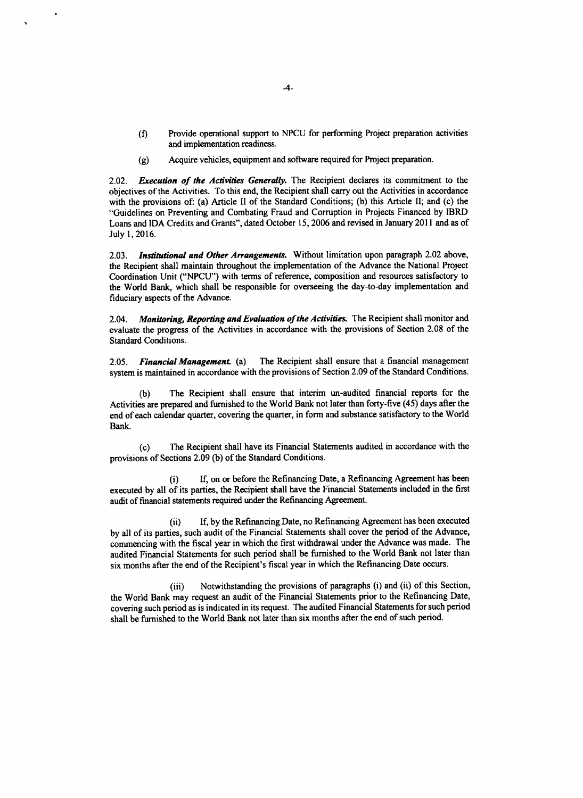- **(f)** Provide operational support to **NPCU** for performing Project preparation activities and implementation readiness.
- **(g)** Acquire vehicles, equipment and software required for Project preparation.

*2.02.* **Execution of the Activities Generally.** The Recipient declares its commitment to the objectives of the Activities. To this end, the Recipient shall carry out the Activities in accordance with the provisions of: (a) Article II of the Standard Conditions; **(b)** this Article **II;** and (c) the "Guidelines on Preventing and Combating Fraud and Corruption in Projects Financed **by** IBRD Loans and **IDA** Credits and Grants", dated October **15, 2006** and revised in January 2011 and as of July **1, 2016.**

*2.03. Institutional and Other Arrangements.* Without limitation upon paragraph 2.02 above, the Recipient shall maintain throughout the implementation of the Advance the National Project Coordination Unit **("NPCU")** with terms of reference, composition and resources satisfactory to the World Bank, which shall be responsible for overseeing the day-to-day implementation and fiduciary aspects of the Advance.

*2.04. Monitoring, Reporting and Evaluation ofthe* **Activities.** The Recipient shall monitor and evaluate the progress of the Activities in accordance with the provisions of Section **2.08** of the Standard Conditions.

*2.05. Financial Management (a)* The Recipient shall ensure that a financial management system is maintained in accordance with the provisions of Section **2.09** of the Standard Conditions.

**(b)** The Recipient shall ensure that interim un-audited financial reports for the Activities are prepared and furnished to the World Bank not later than forty-five (45) days after the end of each calendar quarter, covering the quarter, in form and substance satisfactory to the World Bank.

**(c)** The Recipient shall have its Financial Statements audited in accordance with the provisions of Sections **2.09 (b)** of the Standard Conditions.

(i) If, on or before the Refinancing Date, a Refinancing Agreement has been executed **by** all of its parties, the Recipient shall have the Financial Statements included in the first audit of financial statements required under the Refinancing Agreement.

(ii) **If, by** the Refinancing Date, no Refinancing Agreement has been executed **by** all of its parties, such audit of the Financial Statements shall cover the period of the Advance, commencing with the fiscal year in which the first withdrawal under the Advance was made. The audited Financial Statements for such period shall be furnished to the World Bank not later than six months after the end of the Recipient's fiscal year in which the Refinancing Date occurs.

(iii) Notwithstanding the provisions of paragraphs (i) and (ii) of this Section, the World Bank may request an audit of the Financial Statements prior to the Refinancing Date, covering such period as is indicated in its request. The audited Financial Statements for such period shall be furnished to the World Bank not later than six months after the end of such period.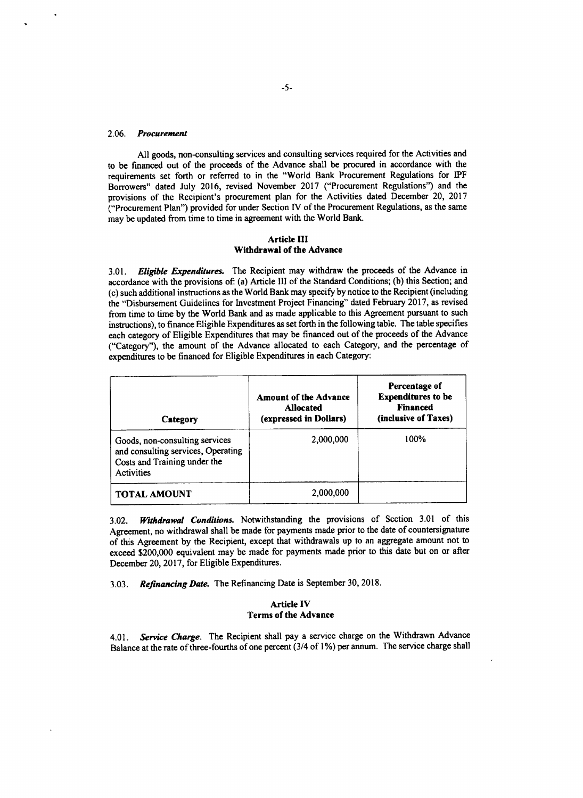### *2.06. Procurement*

**All** goods, non-consulting services and consulting services required for the Activities and to be financed out of the proceeds of the Advance shall be procured in accordance with the requirements set forth or referred to in the "World Bank Procurement Regulations for IPF Borrowers" dated July **2016,** revised November **2017** ("Procurement Regulations") and the provisions of the Recipient's procurement plan for the Activities dated December 20, **2017** ("Procurement Plan") provided for under Section IV of the Procurement Regulations, as the same may be updated from time to time in agreement with the World Bank.

## **Article III Withdrawal of the Advance**

*3.01. Eligible Expenditures.* The Recipient may withdraw the proceeds of the Advance in accordance with the provisions of: (a) Article **III** of the Standard Conditions; **(b)** this Section; and (c) such additional instructions as the World Bank may specify **by** notice to the Recipient (including the "Disbursement Guidelines for Investment Project Financing" dated February **2017,** as revised from time to time **by** the World Bank and as made applicable to this Agreement pursuant to such instructions), to finance Eligible Expenditures as set forth in the following table. The table specifies each category of Eligible Expenditures that may be financed out of the proceeds of the Advance ("Category"), the amount of the Advance allocated to each Category, and the percentage of expenditures to be financed for Eligible Expenditures in each Category:

| Category                                                                                                           | <b>Amount of the Advance</b><br><b>Allocated</b><br>(expressed in Dollars) | Percentage of<br><b>Expenditures to be</b><br><b>Financed</b><br>(inclusive of Taxes) |
|--------------------------------------------------------------------------------------------------------------------|----------------------------------------------------------------------------|---------------------------------------------------------------------------------------|
| Goods, non-consulting services<br>and consulting services, Operating<br>Costs and Training under the<br>Activities | 2,000,000                                                                  | 100%                                                                                  |
| <b>TOTAL AMOUNT</b>                                                                                                | 2,000,000                                                                  |                                                                                       |

**3.02.** *Withdrawal Conditions.* Notwithstanding the provisions of Section **3.01** of this Agreement, no withdrawal shall be made for payments made prior to the date of countersignature of this Agreement **by** the Recipient, except that withdrawals up to an aggregate amount not to exceed \$200,000 equivalent may be made for payments made prior to this date but on or after December 20, **2017,** for Eligible Expenditures.

*3.03. Refinancing Date.* The Refinancing Date is September **30, 2018.**

### **Article IV Terms of the Advance**

*4.01. Service Charge.* The Recipient shall pay a service charge on the Withdrawn Advance Balance at the rate of three-fourths of one percent *(3/4* of **1%)** per annum. The service charge shall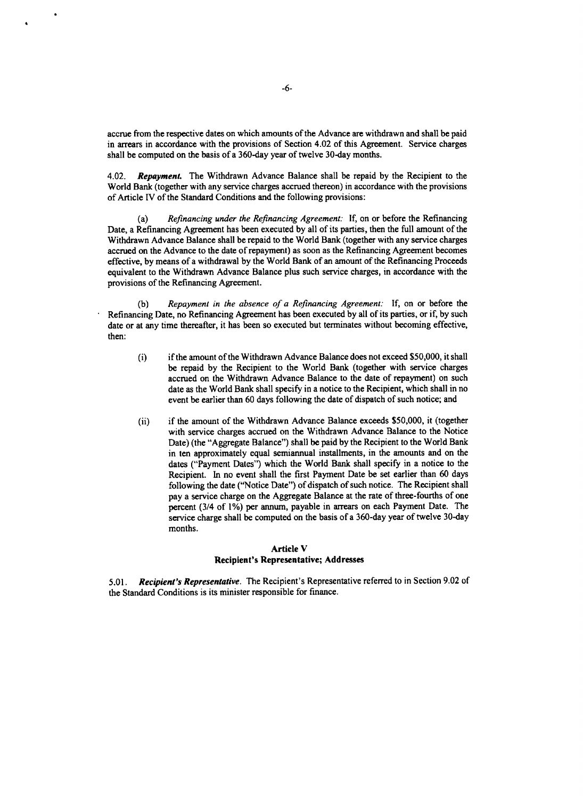accrue from the respective dates on which amounts of the Advance are withdrawn and shall be paid in arrears in accordance with the provisions of Section 4.02 of this Agreement. Service charges shall be computed on the basis of a 360-day year of twelve 30-day months.

*4.02. Repayment.* The Withdrawn Advance Balance shall be repaid **by** the Recipient to the World Bank (together with any service charges accrued thereon) in accordance with the provisions of Article IV of the Standard Conditions and the following provisions:

(a) *Refinancing under the Refinancing Agreement:* If, on or before the Refinancing Date, a Refinancing Agreement has been executed **by** all of its parties, then the full amount of the Withdrawn Advance Balance shall be repaid to the World Bank (together with any service charges accrued on the Advance to the date of repayment) as soon as the Refinancing Agreement becomes effective, **by** means of a withdrawal **by** the World Bank of an amount of the Refinancing Proceeds equivalent to the Withdrawn Advance Balance plus such service charges, in accordance with the provisions of the Refinancing Agreement.

**(b)** *Repayment in the absence of a Refinancing Agreement:* If, on or before the Refinancing Date, no Refinancing Agreement has been executed **by** all of its parties, or if, **by** such date or at any time thereafter, it has been so executed but terminates without becoming effective, then:

- (i) if the amount of the Withdrawn Advance Balance does not exceed **\$50,000,** it shall be repaid **by** the Recipient to the World Bank (together with service charges accrued on the Withdrawn Advance Balance to the date of repayment) on such date as the World Bank shall specify in a notice to the Recipient, which shall in no event be earlier than **60** days following the date of dispatch of such notice; and
- (ii) if the amount of the Withdrawn Advance Balance exceeds **\$50,000,** it (together with service charges accrued on the Withdrawn Advance Balance to the Notice Date) (the "Aggregate Balance") shall be paid **by** the Recipient to the World Bank in ten approximately equal semiannual installments, in the amounts and on the dates ("Payment Dates") which the World Bank shall specify in a notice to the Recipient. In no event shall the first Payment Date be set earlier than **60** days following the date ("Notice Date") of dispatch of such notice. The Recipient shall pay a service charge on the Aggregate Balance at the rate of three-fourths of one percent (3/4 of **1%)** per annum, payable in arrears on each Payment Date. The service charge shall be computed on the basis of a 360-day year of twelve 30-day months.

# Article V Recipient's Representative; Addresses

**5.01.** *Recipient's Representative.* The Recipient's Representative referred to in Section **9.02** of the Standard Conditions is its minister responsible for finance.